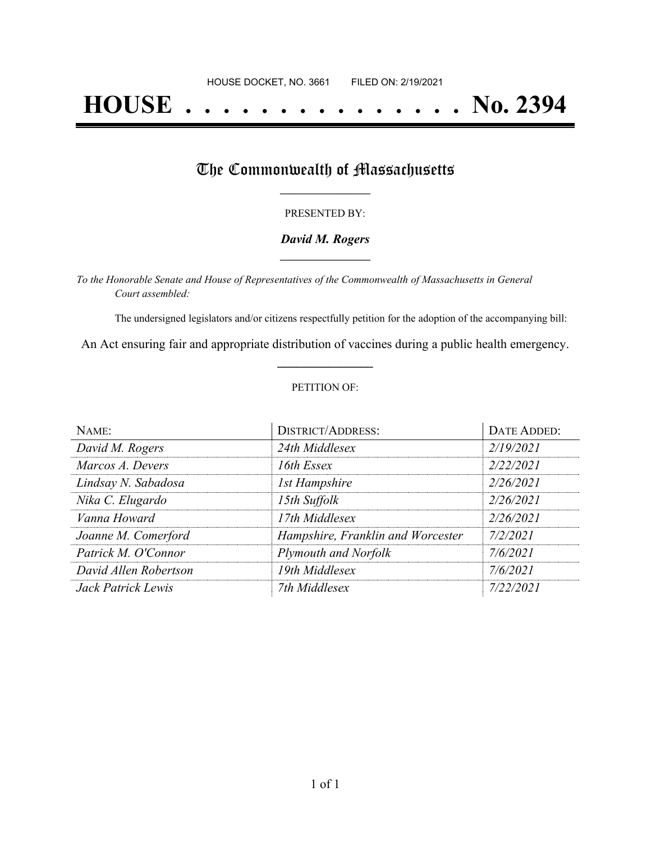# **HOUSE . . . . . . . . . . . . . . . No. 2394**

## The Commonwealth of Massachusetts

#### PRESENTED BY:

#### *David M. Rogers* **\_\_\_\_\_\_\_\_\_\_\_\_\_\_\_\_\_**

*To the Honorable Senate and House of Representatives of the Commonwealth of Massachusetts in General Court assembled:*

The undersigned legislators and/or citizens respectfully petition for the adoption of the accompanying bill:

An Act ensuring fair and appropriate distribution of vaccines during a public health emergency. **\_\_\_\_\_\_\_\_\_\_\_\_\_\_\_**

#### PETITION OF:

| NAME:                 | <b>DISTRICT/ADDRESS:</b>          | DATE ADDED: |
|-----------------------|-----------------------------------|-------------|
| David M. Rogers       | 24th Middlesex                    | 2/19/2021   |
| Marcos A. Devers      | 16th Essex                        | 2/22/2021   |
| Lindsay N. Sabadosa   | <b>1st Hampshire</b>              | 2/26/2021   |
| Nika C. Elugardo      | 15th Suffolk                      | 2/26/2021   |
| Vanna Howard          | 17th Middlesex                    | 2/26/2021   |
| Joanne M. Comerford   | Hampshire, Franklin and Worcester | 7/2/2021    |
| Patrick M. O'Connor   | Plymouth and Norfolk              | 7/6/2021    |
| David Allen Robertson | 19th Middlesex                    | 7/6/2021    |
| Jack Patrick Lewis    | 7th Middlesex                     | 7/22/2021   |